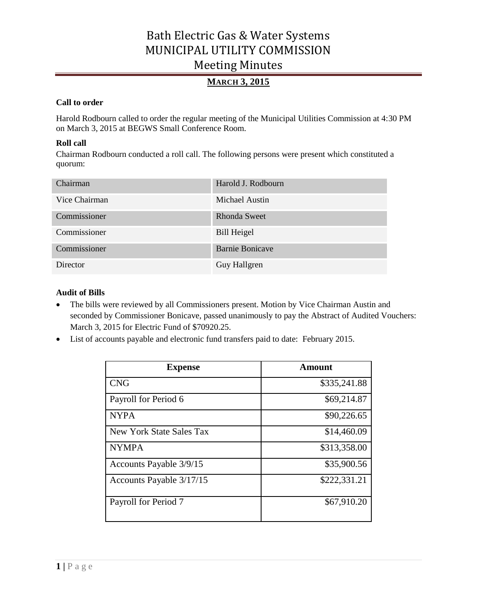## **MARCH 3, 2015**

### **Call to order**

Harold Rodbourn called to order the regular meeting of the Municipal Utilities Commission at 4:30 PM on March 3, 2015 at BEGWS Small Conference Room.

### **Roll call**

Chairman Rodbourn conducted a roll call. The following persons were present which constituted a quorum:

| Chairman      | Harold J. Rodbourn     |
|---------------|------------------------|
| Vice Chairman | Michael Austin         |
| Commissioner  | Rhonda Sweet           |
| Commissioner  | <b>Bill Heigel</b>     |
| Commissioner  | <b>Barnie Bonicave</b> |
| Director      | Guy Hallgren           |

### **Audit of Bills**

- The bills were reviewed by all Commissioners present. Motion by Vice Chairman Austin and seconded by Commissioner Bonicave, passed unanimously to pay the Abstract of Audited Vouchers: March 3, 2015 for Electric Fund of \$70920.25.
- List of accounts payable and electronic fund transfers paid to date: February 2015.

| <b>Expense</b>           | Amount       |
|--------------------------|--------------|
| <b>CNG</b>               | \$335,241.88 |
| Payroll for Period 6     | \$69,214.87  |
| <b>NYPA</b>              | \$90,226.65  |
| New York State Sales Tax | \$14,460.09  |
| <b>NYMPA</b>             | \$313,358.00 |
| Accounts Payable 3/9/15  | \$35,900.56  |
| Accounts Payable 3/17/15 | \$222,331.21 |
| Payroll for Period 7     | \$67,910.20  |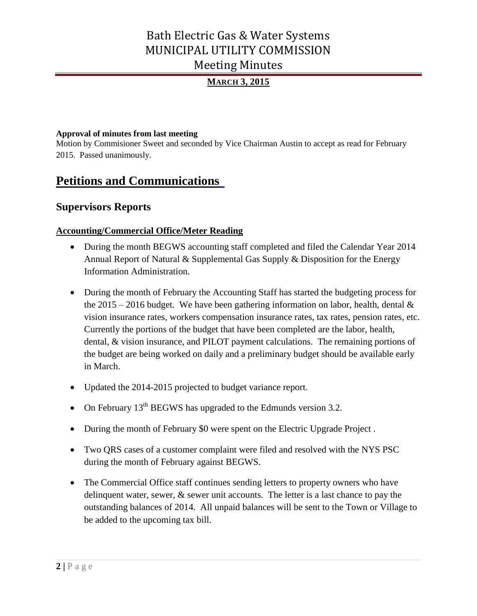# **MARCH 3, 2015**

### **Approval of minutes from last meeting**

Motion by Commisioner Sweet and seconded by Vice Chairman Austin to accept as read for February 2015. Passed unanimously.

# **Petitions and Communications**

## **Supervisors Reports**

## **Accounting/Commercial Office/Meter Reading**

- During the month BEGWS accounting staff completed and filed the Calendar Year 2014 Annual Report of Natural & Supplemental Gas Supply & Disposition for the Energy Information Administration.
- During the month of February the Accounting Staff has started the budgeting process for the 2015 – 2016 budget. We have been gathering information on labor, health, dental  $\&$ vision insurance rates, workers compensation insurance rates, tax rates, pension rates, etc. Currently the portions of the budget that have been completed are the labor, health, dental, & vision insurance, and PILOT payment calculations. The remaining portions of the budget are being worked on daily and a preliminary budget should be available early in March.
- Updated the 2014-2015 projected to budget variance report.
- On February  $13<sup>th</sup>$  BEGWS has upgraded to the Edmunds version 3.2.
- During the month of February \$0 were spent on the Electric Upgrade Project.
- Two QRS cases of a customer complaint were filed and resolved with the NYS PSC during the month of February against BEGWS.
- The Commercial Office staff continues sending letters to property owners who have delinquent water, sewer, & sewer unit accounts. The letter is a last chance to pay the outstanding balances of 2014. All unpaid balances will be sent to the Town or Village to be added to the upcoming tax bill.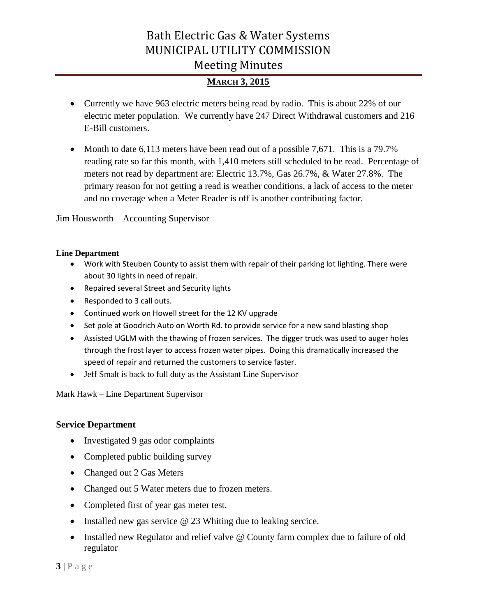## **MARCH 3, 2015**

- Currently we have 963 electric meters being read by radio. This is about 22% of our electric meter population. We currently have 247 Direct Withdrawal customers and 216 E-Bill customers.
- Month to date 6,113 meters have been read out of a possible 7,671. This is a 79.7% reading rate so far this month, with 1,410 meters still scheduled to be read. Percentage of meters not read by department are: Electric 13.7%, Gas 26.7%, & Water 27.8%. The primary reason for not getting a read is weather conditions, a lack of access to the meter and no coverage when a Meter Reader is off is another contributing factor.

Jim Housworth – Accounting Supervisor

### **Line Department**

- Work with Steuben County to assist them with repair of their parking lot lighting. There were about 30 lights in need of repair.
- Repaired several Street and Security lights
- Responded to 3 call outs.
- Continued work on Howell street for the 12 KV upgrade
- Set pole at Goodrich Auto on Worth Rd. to provide service for a new sand blasting shop
- Assisted UGLM with the thawing of frozen services. The digger truck was used to auger holes through the frost layer to access frozen water pipes. Doing this dramatically increased the speed of repair and returned the customers to service faster.
- Jeff Smalt is back to full duty as the Assistant Line Supervisor

Mark Hawk – Line Department Supervisor

### **Service Department**

- Investigated 9 gas odor complaints
- Completed public building survey
- Changed out 2 Gas Meters
- Changed out 5 Water meters due to frozen meters.
- Completed first of year gas meter test.
- Installed new gas service  $\omega$  23 Whiting due to leaking sercice.
- Installed new Regulator and relief valve @ County farm complex due to failure of old regulator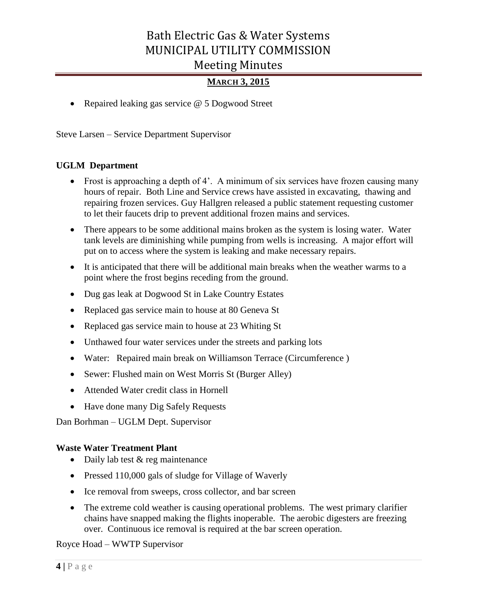## **MARCH 3, 2015**

• Repaired leaking gas service @ 5 Dogwood Street

Steve Larsen – Service Department Supervisor

### **UGLM Department**

- Frost is approaching a depth of 4'. A minimum of six services have frozen causing many hours of repair. Both Line and Service crews have assisted in excavating, thawing and repairing frozen services. Guy Hallgren released a public statement requesting customer to let their faucets drip to prevent additional frozen mains and services.
- There appears to be some additional mains broken as the system is losing water. Water tank levels are diminishing while pumping from wells is increasing. A major effort will put on to access where the system is leaking and make necessary repairs.
- It is anticipated that there will be additional main breaks when the weather warms to a point where the frost begins receding from the ground.
- Dug gas leak at Dogwood St in Lake Country Estates
- Replaced gas service main to house at 80 Geneva St
- Replaced gas service main to house at 23 Whiting St
- Unthawed four water services under the streets and parking lots
- Water: Repaired main break on Williamson Terrace (Circumference )
- Sewer: Flushed main on West Morris St (Burger Alley)
- Attended Water credit class in Hornell
- Have done many Dig Safely Requests

Dan Borhman – UGLM Dept. Supervisor

### **Waste Water Treatment Plant**

- Daily lab test & reg maintenance
- Pressed 110,000 gals of sludge for Village of Waverly
- Ice removal from sweeps, cross collector, and bar screen
- The extreme cold weather is causing operational problems. The west primary clarifier chains have snapped making the flights inoperable. The aerobic digesters are freezing over. Continuous ice removal is required at the bar screen operation.

Royce Hoad – WWTP Supervisor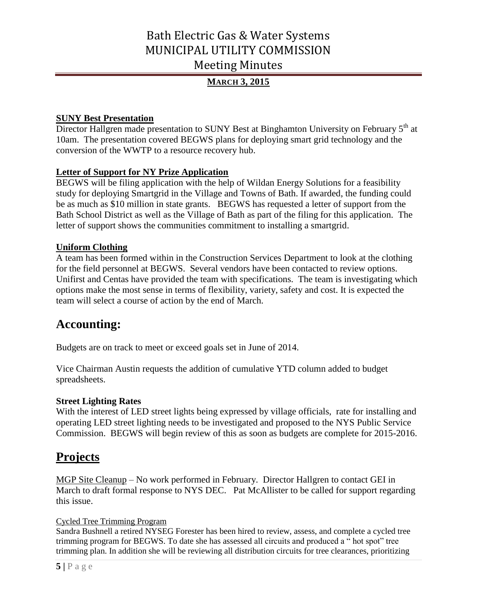# **MARCH 3, 2015**

## **SUNY Best Presentation**

Director Hallgren made presentation to SUNY Best at Binghamton University on February 5<sup>th</sup> at 10am. The presentation covered BEGWS plans for deploying smart grid technology and the conversion of the WWTP to a resource recovery hub.

### **Letter of Support for NY Prize Application**

BEGWS will be filing application with the help of Wildan Energy Solutions for a feasibility study for deploying Smartgrid in the Village and Towns of Bath. If awarded, the funding could be as much as \$10 million in state grants. BEGWS has requested a letter of support from the Bath School District as well as the Village of Bath as part of the filing for this application. The letter of support shows the communities commitment to installing a smartgrid.

### **Uniform Clothing**

A team has been formed within in the Construction Services Department to look at the clothing for the field personnel at BEGWS. Several vendors have been contacted to review options. Unifirst and Centas have provided the team with specifications. The team is investigating which options make the most sense in terms of flexibility, variety, safety and cost. It is expected the team will select a course of action by the end of March.

# **Accounting:**

Budgets are on track to meet or exceed goals set in June of 2014.

Vice Chairman Austin requests the addition of cumulative YTD column added to budget spreadsheets.

### **Street Lighting Rates**

With the interest of LED street lights being expressed by village officials, rate for installing and operating LED street lighting needs to be investigated and proposed to the NYS Public Service Commission. BEGWS will begin review of this as soon as budgets are complete for 2015-2016.

# **Projects**

MGP Site Cleanup – No work performed in February. Director Hallgren to contact GEI in March to draft formal response to NYS DEC. Pat McAllister to be called for support regarding this issue.

### Cycled Tree Trimming Program

Sandra Bushnell a retired NYSEG Forester has been hired to review, assess, and complete a cycled tree trimming program for BEGWS. To date she has assessed all circuits and produced a " hot spot" tree trimming plan. In addition she will be reviewing all distribution circuits for tree clearances, prioritizing